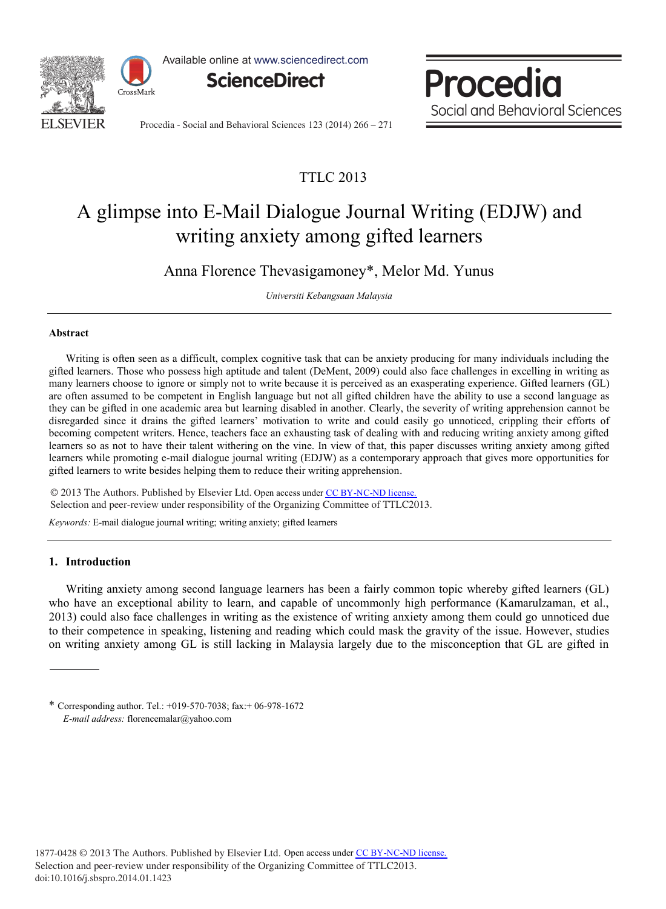





Procedia Social and Behavioral Sciences

Procedia - Social and Behavioral Sciences 123 (2014) 266 – 271

# TTLC 2013

# A glimpse into E-Mail Dialogue Journal Writing (EDJW) and writing anxiety among gifted learners

Anna Florence Thevasigamoney\*, Melor Md. Yunus

*Universiti Kebangsaan Malaysia*

#### **Abstract**

Writing is often seen as a difficult, complex cognitive task that can be anxiety producing for many individuals including the gifted learners. Those who possess high aptitude and talent (DeMent, 2009) could also face challenges in excelling in writing as many learners choose to ignore or simply not to write because it is perceived as an exasperating experience. Gifted learners (GL) are often assumed to be competent in English language but not all gifted children have the ability to use a second language as they can be gifted in one academic area but learning disabled in another. Clearly, the severity of writing apprehension cannot be disregarded since it drains the gifted learners' motivation to write and could easily go unnoticed, crippling their efforts of becoming competent writers. Hence, teachers face an exhausting task of dealing with and reducing writing anxiety among gifted learners so as not to have their talent withering on the vine. In view of that, this paper discusses writing anxiety among gifted learners while promoting e-mail dialogue journal writing (EDJW) as a contemporary approach that gives more opportunities for gifted learners to write besides helping them to reduce their writing apprehension.

© 2013 The Authors. Published by Elsevier Ltd. © 2013 The Authors. Published by Elsevier Ltd. Open access under [CC BY-NC-ND license.](http://creativecommons.org/licenses/by-nc-nd/3.0/) Selection and peer-review under responsibility of the Organizing Committee of TTLC2013.

*Keywords:* E-mail dialogue journal writing; writing anxiety; gifted learners

# **1. Introduction**

Writing anxiety among second language learners has been a fairly common topic whereby gifted learners (GL) who have an exceptional ability to learn, and capable of uncommonly high performance (Kamarulzaman, et al., 2013) could also face challenges in writing as the existence of writing anxiety among them could go unnoticed due to their competence in speaking, listening and reading which could mask the gravity of the issue. However, studies on writing anxiety among GL is still lacking in Malaysia largely due to the misconception that GL are gifted in

<sup>\*</sup> Corresponding author. Tel.: +019-570-7038; fax:+ 06-978-1672 *E-mail address:* florencemalar@yahoo.com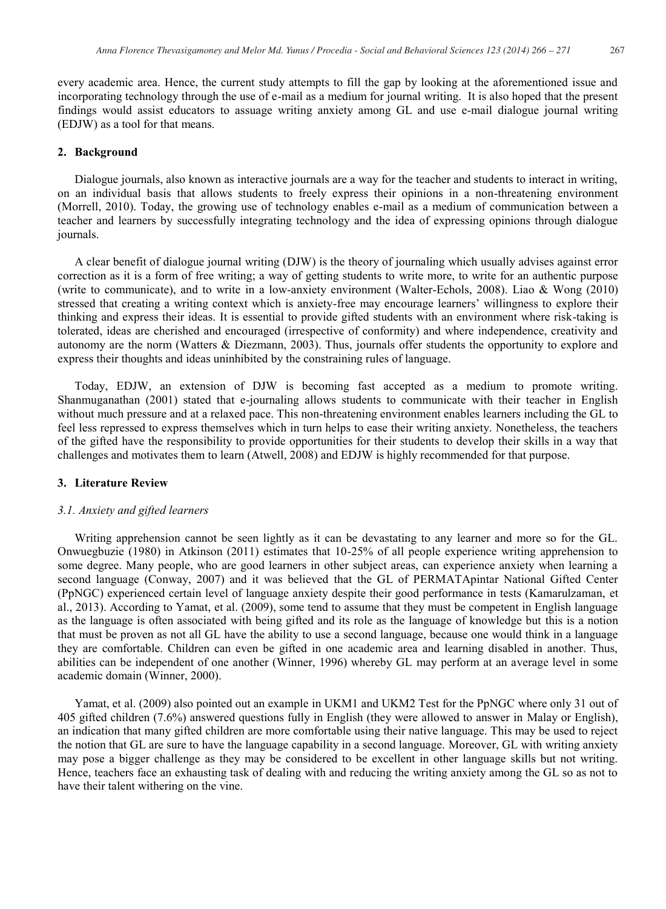every academic area. Hence, the current study attempts to fill the gap by looking at the aforementioned issue and incorporating technology through the use of e-mail as a medium for journal writing. It is also hoped that the present findings would assist educators to assuage writing anxiety among GL and use e-mail dialogue journal writing (EDJW) as a tool for that means.

#### **2. Background**

Dialogue journals, also known as interactive journals are a way for the teacher and students to interact in writing, on an individual basis that allows students to freely express their opinions in a non-threatening environment (Morrell, 2010). Today, the growing use of technology enables e-mail as a medium of communication between a teacher and learners by successfully integrating technology and the idea of expressing opinions through dialogue journals.

A clear benefit of dialogue journal writing (DJW) is the theory of journaling which usually advises against error correction as it is a form of free writing; a way of getting students to write more, to write for an authentic purpose (write to communicate), and to write in a low-anxiety environment (Walter-Echols, 2008). Liao & Wong (2010) stressed that creating a writing context which is anxiety-free may encourage learners' willingness to explore their thinking and express their ideas. It is essential to provide gifted students with an environment where risk-taking is tolerated, ideas are cherished and encouraged (irrespective of conformity) and where independence, creativity and autonomy are the norm (Watters & Diezmann, 2003). Thus, journals offer students the opportunity to explore and express their thoughts and ideas uninhibited by the constraining rules of language.

Today, EDJW, an extension of DJW is becoming fast accepted as a medium to promote writing. Shanmuganathan (2001) stated that e-journaling allows students to communicate with their teacher in English without much pressure and at a relaxed pace. This non-threatening environment enables learners including the GL to feel less repressed to express themselves which in turn helps to ease their writing anxiety. Nonetheless, the teachers of the gifted have the responsibility to provide opportunities for their students to develop their skills in a way that challenges and motivates them to learn (Atwell, 2008) and EDJW is highly recommended for that purpose.

### **3. Literature Review**

#### *3.1. Anxiety and gifted learners*

Writing apprehension cannot be seen lightly as it can be devastating to any learner and more so for the GL. Onwuegbuzie (1980) in Atkinson (2011) estimates that 10-25% of all people experience writing apprehension to some degree. Many people, who are good learners in other subject areas, can experience anxiety when learning a second language (Conway, 2007) and it was believed that the GL of PERMATApintar National Gifted Center (PpNGC) experienced certain level of language anxiety despite their good performance in tests (Kamarulzaman, et al., 2013). According to Yamat, et al. (2009), some tend to assume that they must be competent in English language as the language is often associated with being gifted and its role as the language of knowledge but this is a notion that must be proven as not all GL have the ability to use a second language, because one would think in a language they are comfortable. Children can even be gifted in one academic area and learning disabled in another. Thus, abilities can be independent of one another (Winner, 1996) whereby GL may perform at an average level in some academic domain (Winner, 2000).

Yamat, et al. (2009) also pointed out an example in UKM1 and UKM2 Test for the PpNGC where only 31 out of 405 gifted children (7.6%) answered questions fully in English (they were allowed to answer in Malay or English), an indication that many gifted children are more comfortable using their native language. This may be used to reject the notion that GL are sure to have the language capability in a second language. Moreover, GL with writing anxiety may pose a bigger challenge as they may be considered to be excellent in other language skills but not writing. Hence, teachers face an exhausting task of dealing with and reducing the writing anxiety among the GL so as not to have their talent withering on the vine.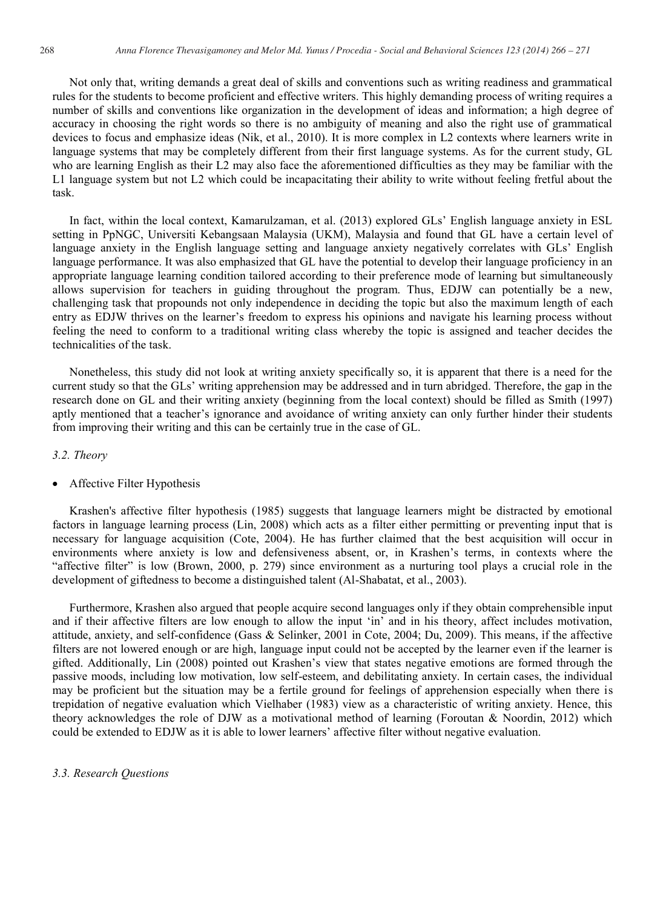Not only that, writing demands a great deal of skills and conventions such as writing readiness and grammatical rules for the students to become proficient and effective writers. This highly demanding process of writing requires a number of skills and conventions like organization in the development of ideas and information; a high degree of accuracy in choosing the right words so there is no ambiguity of meaning and also the right use of grammatical devices to focus and emphasize ideas (Nik, et al., 2010). It is more complex in L2 contexts where learners write in language systems that may be completely different from their first language systems. As for the current study, GL who are learning English as their L2 may also face the aforementioned difficulties as they may be familiar with the L1 language system but not L2 which could be incapacitating their ability to write without feeling fretful about the task.

In fact, within the local context, Kamarulzaman, et al. (2013) explored GLs' English language anxiety in ESL setting in PpNGC, Universiti Kebangsaan Malaysia (UKM), Malaysia and found that GL have a certain level of language anxiety in the English language setting and language anxiety negatively correlates with GLs' English language performance. It was also emphasized that GL have the potential to develop their language proficiency in an appropriate language learning condition tailored according to their preference mode of learning but simultaneously allows supervision for teachers in guiding throughout the program. Thus, EDJW can potentially be a new, challenging task that propounds not only independence in deciding the topic but also the maximum length of each entry as EDJW thrives on the learner's freedom to express his opinions and navigate his learning process without feeling the need to conform to a traditional writing class whereby the topic is assigned and teacher decides the technicalities of the task.

Nonetheless, this study did not look at writing anxiety specifically so, it is apparent that there is a need for the current study so that the GLs' writing apprehension may be addressed and in turn abridged. Therefore, the gap in the research done on GL and their writing anxiety (beginning from the local context) should be filled as Smith (1997) aptly mentioned that a teacher's ignorance and avoidance of writing anxiety can only further hinder their students from improving their writing and this can be certainly true in the case of GL.

#### *3.2. Theory*

### x Affective Filter Hypothesis

Krashen's affective filter hypothesis (1985) suggests that language learners might be distracted by emotional factors in language learning process (Lin, 2008) which acts as a filter either permitting or preventing input that is necessary for language acquisition (Cote, 2004). He has further claimed that the best acquisition will occur in environments where anxiety is low and defensiveness absent, or, in Krashen's terms, in contexts where the "affective filter" is low (Brown, 2000, p. 279) since environment as a nurturing tool plays a crucial role in the development of giftedness to become a distinguished talent (Al-Shabatat, et al., 2003).

Furthermore, Krashen also argued that people acquire second languages only if they obtain comprehensible input and if their affective filters are low enough to allow the input 'in' and in his theory, affect includes motivation, attitude, anxiety, and self-confidence (Gass & Selinker, 2001 in Cote, 2004; Du, 2009). This means, if the affective filters are not lowered enough or are high, language input could not be accepted by the learner even if the learner is gifted. Additionally, Lin (2008) pointed out Krashen's view that states negative emotions are formed through the passive moods, including low motivation, low self-esteem, and debilitating anxiety. In certain cases, the individual may be proficient but the situation may be a fertile ground for feelings of apprehension especially when there is trepidation of negative evaluation which Vielhaber (1983) view as a characteristic of writing anxiety. Hence, this theory acknowledges the role of DJW as a motivational method of learning (Foroutan & Noordin, 2012) which could be extended to EDJW as it is able to lower learners' affective filter without negative evaluation.

#### *3.3. Research Questions*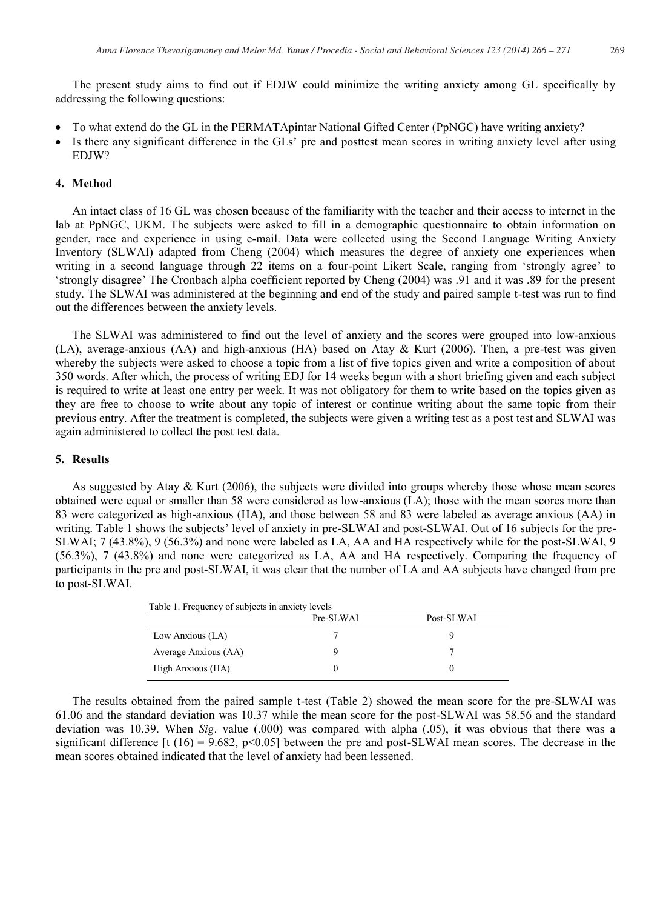The present study aims to find out if EDJW could minimize the writing anxiety among GL specifically by addressing the following questions:

- To what extend do the GL in the PERMATApintar National Gifted Center (PpNGC) have writing anxiety?
- Is there any significant difference in the GLs' pre and posttest mean scores in writing anxiety level after using EDJW?

### **4. Method**

An intact class of 16 GL was chosen because of the familiarity with the teacher and their access to internet in the lab at PpNGC, UKM. The subjects were asked to fill in a demographic questionnaire to obtain information on gender, race and experience in using e-mail. Data were collected using the Second Language Writing Anxiety Inventory (SLWAI) adapted from Cheng (2004) which measures the degree of anxiety one experiences when writing in a second language through 22 items on a four-point Likert Scale, ranging from 'strongly agree' to 'strongly disagree' The Cronbach alpha coefficient reported by Cheng (2004) was .91 and it was .89 for the present study. The SLWAI was administered at the beginning and end of the study and paired sample t-test was run to find out the differences between the anxiety levels.

The SLWAI was administered to find out the level of anxiety and the scores were grouped into low-anxious (LA), average-anxious (AA) and high-anxious (HA) based on Atay & Kurt (2006). Then, a pre-test was given whereby the subjects were asked to choose a topic from a list of five topics given and write a composition of about 350 words. After which, the process of writing EDJ for 14 weeks begun with a short briefing given and each subject is required to write at least one entry per week. It was not obligatory for them to write based on the topics given as they are free to choose to write about any topic of interest or continue writing about the same topic from their previous entry. After the treatment is completed, the subjects were given a writing test as a post test and SLWAI was again administered to collect the post test data.

## **5. Results**

As suggested by Atay & Kurt (2006), the subjects were divided into groups whereby those whose mean scores obtained were equal or smaller than 58 were considered as low-anxious (LA); those with the mean scores more than 83 were categorized as high-anxious (HA), and those between 58 and 83 were labeled as average anxious (AA) in writing. Table 1 shows the subjects' level of anxiety in pre-SLWAI and post-SLWAI. Out of 16 subjects for the pre-SLWAI; 7 (43.8%), 9 (56.3%) and none were labeled as LA, AA and HA respectively while for the post-SLWAI, 9 (56.3%), 7 (43.8%) and none were categorized as LA, AA and HA respectively. Comparing the frequency of participants in the pre and post-SLWAI, it was clear that the number of LA and AA subjects have changed from pre to post-SLWAI.

| Table 1. Frequency of subjects in anxiety levels |           |            |  |  |  |
|--------------------------------------------------|-----------|------------|--|--|--|
|                                                  | Pre-SLWAI | Post-SLWAI |  |  |  |
| Low Anxious (LA)                                 |           |            |  |  |  |
| Average Anxious (AA)                             |           |            |  |  |  |
| High Anxious (HA)                                |           |            |  |  |  |

The results obtained from the paired sample t-test (Table 2) showed the mean score for the pre-SLWAI was 61.06 and the standard deviation was 10.37 while the mean score for the post-SLWAI was 58.56 and the standard deviation was 10.39. When *Sig*. value (.000) was compared with alpha (.05), it was obvious that there was a significant difference [t (16) = 9.682, p<0.05] between the pre and post-SLWAI mean scores. The decrease in the mean scores obtained indicated that the level of anxiety had been lessened.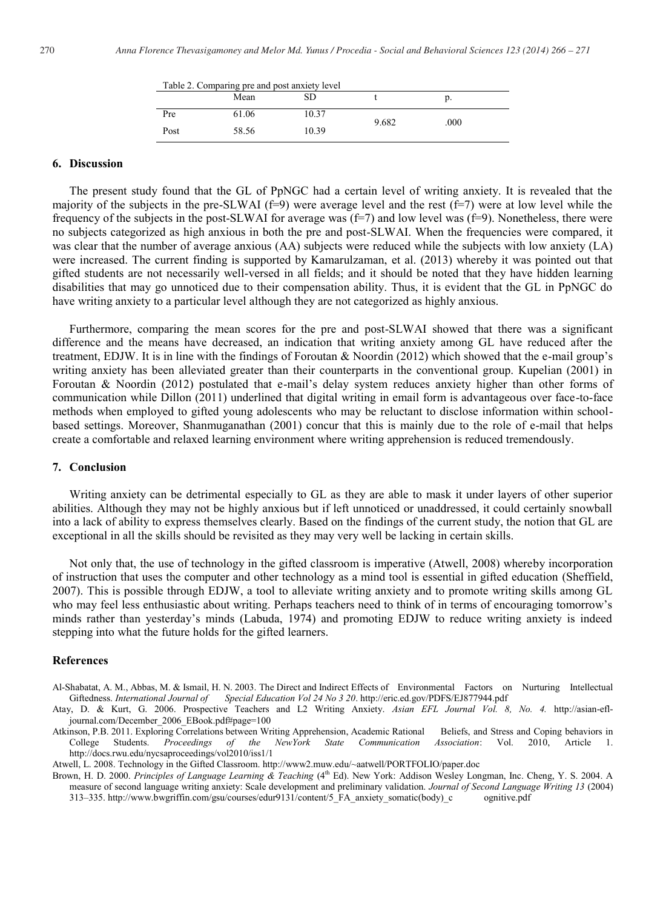|      | Table 2. Comparing pre and post anxiety level |       |       |      |  |
|------|-----------------------------------------------|-------|-------|------|--|
|      | Mean                                          | SD    |       | D.   |  |
| Pre  | 61.06                                         | 10.37 | 9.682 | .000 |  |
| Post | 58.56                                         | 10.39 |       |      |  |

# **6. Discussion**

The present study found that the GL of PpNGC had a certain level of writing anxiety. It is revealed that the majority of the subjects in the pre-SLWAI (f=9) were average level and the rest (f=7) were at low level while the frequency of the subjects in the post-SLWAI for average was  $(f=7)$  and low level was  $(f=9)$ . Nonetheless, there were no subjects categorized as high anxious in both the pre and post-SLWAI. When the frequencies were compared, it was clear that the number of average anxious (AA) subjects were reduced while the subjects with low anxiety (LA) were increased. The current finding is supported by Kamarulzaman, et al. (2013) whereby it was pointed out that gifted students are not necessarily well-versed in all fields; and it should be noted that they have hidden learning disabilities that may go unnoticed due to their compensation ability. Thus, it is evident that the GL in PpNGC do have writing anxiety to a particular level although they are not categorized as highly anxious.

Furthermore, comparing the mean scores for the pre and post-SLWAI showed that there was a significant difference and the means have decreased, an indication that writing anxiety among GL have reduced after the treatment, EDJW. It is in line with the findings of Foroutan & Noordin (2012) which showed that the e-mail group's writing anxiety has been alleviated greater than their counterparts in the conventional group. Kupelian (2001) in Foroutan & Noordin (2012) postulated that e-mail's delay system reduces anxiety higher than other forms of communication while Dillon (2011) underlined that digital writing in email form is advantageous over face-to-face methods when employed to gifted young adolescents who may be reluctant to disclose information within schoolbased settings. Moreover, Shanmuganathan (2001) concur that this is mainly due to the role of e-mail that helps create a comfortable and relaxed learning environment where writing apprehension is reduced tremendously.

#### **7. Conclusion**

Writing anxiety can be detrimental especially to GL as they are able to mask it under layers of other superior abilities. Although they may not be highly anxious but if left unnoticed or unaddressed, it could certainly snowball into a lack of ability to express themselves clearly. Based on the findings of the current study, the notion that GL are exceptional in all the skills should be revisited as they may very well be lacking in certain skills.

Not only that, the use of technology in the gifted classroom is imperative (Atwell, 2008) whereby incorporation of instruction that uses the computer and other technology as a mind tool is essential in gifted education (Sheffield, 2007). This is possible through EDJW, a tool to alleviate writing anxiety and to promote writing skills among GL who may feel less enthusiastic about writing. Perhaps teachers need to think of in terms of encouraging tomorrow's minds rather than yesterday's minds (Labuda, 1974) and promoting EDJW to reduce writing anxiety is indeed stepping into what the future holds for the gifted learners.

#### **References**

- Al-Shabatat, A. M., Abbas, M. & Ismail, H. N. 2003. The Direct and Indirect Effects of Environmental Factors on Nurturing Intellectual Giftedness. *International Journal of Special Education Vol 24 No 3 20*. http://eric.ed.gov/PDFS/EJ877944.pdf
- Atay, D. & Kurt, G. 2006. Prospective Teachers and L2 Writing Anxiety. *Asian EFL Journal Vol. 8, No. 4.* http://asian-efljournal.com/December\_2006\_EBook.pdf#page=100
- Atkinson, P.B. 2011. Exploring Correlations between Writing Apprehension, Academic Rational Beliefs, and Stress and Coping behaviors in College Students. *Proceedings of the NewYork State Communication Association*: Vol. 2010, Article 1. http://docs.rwu.edu/nycsaproceedings/vol2010/iss1/1
- Atwell, L. 2008. Technology in the Gifted Classroom. http://www2.muw.edu/~aatwell/PORTFOLIO/paper.doc

Brown, H. D. 2000. Principles of Language Learning & Teaching (4<sup>th</sup> Ed). New York: Addison Wesley Longman, Inc. Cheng, Y. S. 2004. A measure of second language writing anxiety: Scale development and preliminary validation. *Journal of Second Language Writing 13* (2004) 313–335. http://www.bwgriffin.com/gsu/courses/edur9131/content/5\_FA\_anxiety\_somatic(body)\_c ognitive.pdf